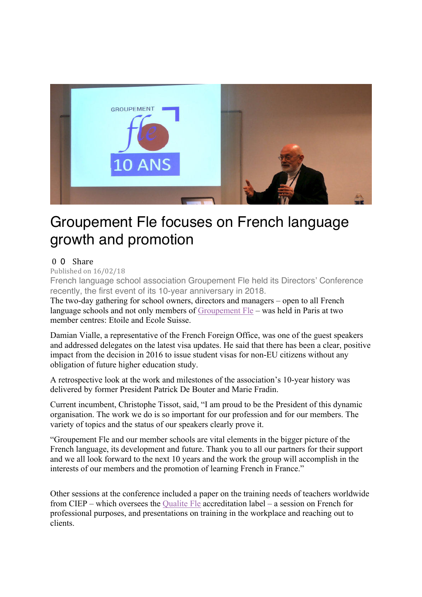

## Groupement Fle focuses on French language growth and promotion

## 0 0 Share

Published on  $16/02/18$ 

French language school association Groupement Fle held its Directors' Conference recently, the first event of its 10-year anniversary in 2018.

The two-day gathering for school owners, directors and managers – open to all French language schools and not only members of Groupement Fle – was held in Paris at two member centres: Etoile and Ecole Suisse.

Damian Vialle, a representative of the French Foreign Office, was one of the guest speakers and addressed delegates on the latest visa updates. He said that there has been a clear, positive impact from the decision in 2016 to issue student visas for non-EU citizens without any obligation of future higher education study.

A retrospective look at the work and milestones of the association's 10-year history was delivered by former President Patrick De Bouter and Marie Fradin.

Current incumbent, Christophe Tissot, said, "I am proud to be the President of this dynamic organisation. The work we do is so important for our profession and for our members. The variety of topics and the status of our speakers clearly prove it.

"Groupement Fle and our member schools are vital elements in the bigger picture of the French language, its development and future. Thank you to all our partners for their support and we all look forward to the next 10 years and the work the group will accomplish in the interests of our members and the promotion of learning French in France."

Other sessions at the conference included a paper on the training needs of teachers worldwide from CIEP – which oversees the Qualite Fle accreditation label – a session on French for professional purposes, and presentations on training in the workplace and reaching out to clients.